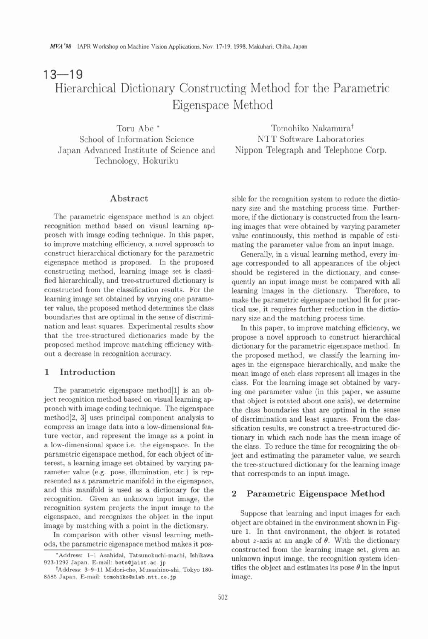# $13 - 19$ Hierarchical Dictionary Constructing Method for the Parametric Eigenspace Method

School of Information Science NTT Software Laboratories Japan Advanced Institute of Science and Nippon Telegraph and Telephone Corp. Technology, Hokuriku

Toru Abe \* Tomohiko Nakamura<sup>†</sup>

## **Abstract**

The parametric eigenspace method is an object recognition method based on visual learning approach with image coding technique. In this paper, to improve matching efficiency, a novel approach to construct hierarchical dictionary for the parametric eigenspace method is proposed. In the proposed constructing method, learning image set is classified hierarchically, and tree-structured dictionary is constructed from the classification results. For the learning image set obtained by varying one parameter value, the proposed method determines the class boundaries that are optimal in the sense of discrimination and least squares. Experimental results show that the tree-structured dictionaries made by the proposed method improve matching efficiency without a decrease in recognition accuracy.

# **1 Introduction**

The parametric eigenspace method[l] is an object recognition method based on visual learning approach with image coding technique. The eigenspace method[2, **31** uses principal component analysis to compress an image data into a low-dimensional feature vector, and represent the image as a point in a low-dimensional space i.e. the eigenspace. In the parametric eigenspace method, for each object of interest, a learning image set obtained by varying parameter value (e.g. pose, illumination, etc.) is represented as a parametric manifold in the eigenspace, and this manifold is used as a dictionary for the recognition. Given an unknown input image, the recognition system projects the input image to the eigenspace, and recognizes the object in the input image by matching with a point in the dictionary.

In comparison with other visual learning methods, the parametric eigenspace method makes it possible for the recognition system to reduce the dictionary size and the matching process time. Furthermore, if the dictionary is constructed from the learning images that were obtained by varying parameter value continuously, this method is capable of estimating the parameter value from an input image.

Generally, in a visual learning method, every image corresponded to all appearances of the object should be registered in the dictionary, and consequently an input image must be compared with all learning images in the dictionary. Therefore, to make the parametric eigenspace method fit for practical use, it requires further reduction in the dictionary size and the matching process time.

In this paper, to improve matching efficiency, we propose a novel approach to construct hierarchical dictionary for the parametric eigenspace method. In the proposed method, we classify the learning images in the eigenspace hierarchically, and make the mean image of each class represent all images in the class. For the learning image set obtained by varying one parameter value (in this paper, we assume that object is rotated about one axis), we determine the class boundaries that are optimal in the sense of discrimination and least squares. Rom the classification results, we construct a tree-structured dictionary in which each node has the mean image of the class. To reduce the time for recognizing the object and estimating the parameter value, we search the tree-structured dictionary for the learning image that corresponds to an input image.

## **2 Parametric Eigenspace Method**

Suppose that learning and input images for each object are obtained in the environment shown in Figure 1. In that environment, the object is rotated about  $z$ -axis at an angle of  $\theta$ . With the dictionary constructed from the learning image set, given an unknown input image, the recognition system identifies the object and estimates its pose  $\theta$  in the input image.

**<sup>\*</sup>Address: 1-1 Asahidai, Tatsunokuchi-machi, Ishikawa 923-1292 Japan. E-mail: betoQjaist .ac. jp** 

**t~ddress: 3-9-11 Midori-cho, Musashino-shi, Tokyo 180- <sup>8585</sup>Japan. E-mail: tomohikoQslab .ntt** . **co. jp**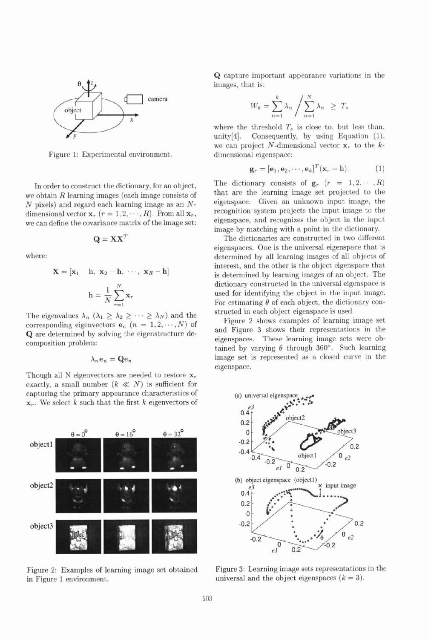

Figure 1: Experimental environment. dimensional eigenspace:

In order to construct the dictionary, for an object, we obtain  $R$  learning images (each image consists of  $N$  pixels) and regard each learning image as an  $N$ dimensional vector  $\mathbf{x}_r$  ( $r = 1, 2, \cdots, R$ ). From all  $\mathbf{x}_r$ , we can define the covariance matrix of the image set:

$$
\mathbf{Q} = \mathbf{X} \mathbf{X}^T
$$

where:

$$
\mathbf{X} = [\mathbf{x}_1 - \mathbf{h}, \ \mathbf{x}_2 - \mathbf{h}, \ \cdots, \ \mathbf{x}_R - \mathbf{h}]
$$

$$
\mathbf{h} = \frac{1}{N} \sum_{r=1}^{N} \mathbf{x}_r
$$

The eigenvalues  $\lambda_n$  ( $\lambda_1 \ge \lambda_2 \ge \cdots \ge \lambda_N$ ) and the structed in each object eigenspace is used.<br>Figure 2 shows examples of learning image set corresponding eigenvectors  $e_n$  ( $n = 1, 2, \dots, N$ ) of Figure 2 shows examples of learning image set Q are determined by solving the eigenstructure decomposition problem: eigenspaces. These learning image sets were ob-

$$
\lambda_n \mathbf{e}_n = \mathbf{Q} \mathbf{e}_n
$$

Though all N eigenvectors are needed to restore **x,**  exactly, a small number  $(k \ll N)$  is sufficient for capturing the primary appearance characteristics of **x,.** We select **k** such that the first **k** eigenvectors of



in Figure 1 environment. universal and the object eigenspaces  $(k = 3)$ .

Q capture important appearance variations in the

$$
W_k = \sum_{n=1}^k \lambda_n / \sum_{n=1}^N \lambda_n \ge T_s
$$

where the threshold  $T_s$  is close to, but less than, unity[4]. Consequently, by using Equation (I), we can project N-dimensional vector  $\mathbf{x}_r$  to the k-

$$
\mathbf{g}_r = [\mathbf{e}_1, \mathbf{e}_2, \cdots, \mathbf{e}_k]^T (\mathbf{x}_r - \mathbf{h}). \tag{1}
$$

The dictionary consists of  $g_r$   $(r = 1, 2, \dots, R)$ that are the learning image set projected to the eigenspace. Given an unknown input image, the recognition system projects the input image to the eigenspace, and recognizes the object in the input image by matching with a point in the dictionary.

The dictionaries are constructed in two different eigenspaces. One is the universal eigenspace that is determined by all learning images of all objects of interest, and the other is the object eigenspace that is determined by learning images of an object. The dictionary constructed in the universal eigenspace is used for identifying the object in the input image. For estimating  $\theta$  of each object, the dictionary constructed in each object eigenspace is used.

tained by varying  $\theta$  through 360°. Such learning image set is represented as a closed curve in the eigenspace.



Figure 2: Examples of learning image set obtained Figure 3: Learning image sets representations in the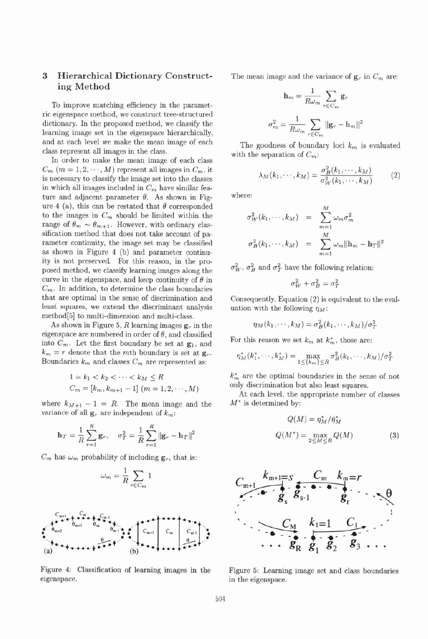# **3 Hierarchical Dictionary Constructing Method**

To improve matching efficiency in the parametric eigenspace method, we construct tree-structured dictionary. In the proposed method, we classify the learning image set in the eigenspace hierarchically, and at each level we make the mean image of each class represent all images in the class.

In order to make the mean image of each class  $C_m$   $(m = 1, 2, \dots, M)$  represent all images in  $C_m$ , it is necessary to classify the image set into the classes in which all images included in  $C_m$  have similar feature and adjacent parameter  $\theta$ . As shown in Figure 4 (a), this can be restated that  $\theta$  corresponded to the images in  $C_m$  should be limited within the range of  $\theta_m \sim \theta_{m+1}$ . However, with ordinary classification method that does not take account of parameter continuity, the image set may be classified as shown in Figure 4 (b) and parameter continuity is not preserved. For this reason, in the proposed method, we classify learning images along the curve in the eigenspace, and keep continuity of  $\theta$  in  $C_m$ . In addition, to determine the class boundaries that are optimal in the sense of discrimination and least squares, we extend the discriminant analysis method[5] to multi-dimension and multi-class.

As shown in Figure 5, R learning images  $g_r$  in the eigenspace are numbered in order of  $\theta$ , and classified into  $C_m$ . Let the first boundary be set at  $g_1$ , and  $k_m = r$  denote that the mth boundary is set at  $g_r$ . Boundaries  $k_m$  and classes  $C_m$  are represented as:

$$
1 = k_1 < k_2 < \cdots < k_M \le R
$$
\n
$$
C_m = [k_m, k_{m+1} - 1] \ (m = 1, 2, \cdots, M)
$$

where  $k_{M+1} - 1 = R$ . The mean image and the variance of all  $\mathbf{g}_r$  are independent of  $k_m$ :

$$
\mathbf{h}_T = \frac{1}{R} \sum_{r=1}^R \mathbf{g}_r, \quad \sigma_T^2 = \frac{1}{R} \sum_{r=1}^R ||\mathbf{g}_r - \mathbf{h}_T||^2
$$

 $C_m$  has  $\omega_m$  probability of including  $\mathbf{g}_r$ , that is:

$$
\omega_m = \frac{1}{R} \sum_{r \in C_m} 1
$$



Figure 4: Classification of learning images in the Figure 5: Learning image set and class boundaries eigenspace. in the eigenspace.

The mean image and the variance of  $\mathbf{g}_r$  in  $C_m$  are:

$$
\mathbf{h}_{m} = \frac{1}{R\omega_{m}} \sum_{r \in C_{m}} \mathbf{g}_{r}
$$

$$
r_{m}^{2} = \frac{1}{R\omega_{m}} \sum_{r \in C_{m}} ||\mathbf{g}_{r} - \mathbf{h}_{m}||^{2}
$$

The goodness of boundary loci  $k_m$  is evaluated with the separation of  $C_m$ :

$$
\lambda_M(k_1,\cdots,k_M) = \frac{\sigma_B^2(k_1,\cdots,k_M)}{\sigma_W^2(k_1,\cdots,k_M)}\tag{2}
$$

where:

 $\sigma$ 

$$
\sigma_W^2(k_1,\dots,k_M) = \sum_{m=1}^M \omega_m \sigma_m^2
$$
  

$$
\sigma_B^2(k_1,\dots,k_M) = \sum_{m=1}^M \omega_m ||\mathbf{h}_m - \mathbf{h}_T||^2
$$

 $\sigma_W^2$ ,  $\sigma_B^2$  and  $\sigma_T^2$  have the following relation:

$$
\sigma_W^2 + \sigma_B^2 = \sigma_T^2
$$

Consequently, Equation (2) is equivalent to the evaluation with the following  $\eta_M$ :

$$
\eta_M(k_1,\cdots,k_M)=\sigma_B^2(k_1,\cdots,k_M)/\sigma_T^2
$$

For this reason we set  $k_m$  at  $k_m^*$ , those are:

$$
\eta_M^*(k_1^*, \cdots, k_M^*) = \max_{1 \leq \{k_m\} \leq R} \sigma_B^2(k_1, \cdots, k_M)/\sigma_T^2
$$

 $k_m^*$  are the optimal boundaries in the sense of not only discrimination but also least squares.

At each level, the appropriate number of classes  $M^*$  is determined by:

$$
Q(M) = \eta_M^* / \tilde{\eta}_M^*
$$
  

$$
Q(M^*) = \max_{2 \le M \le R} Q(M)
$$
 (3)